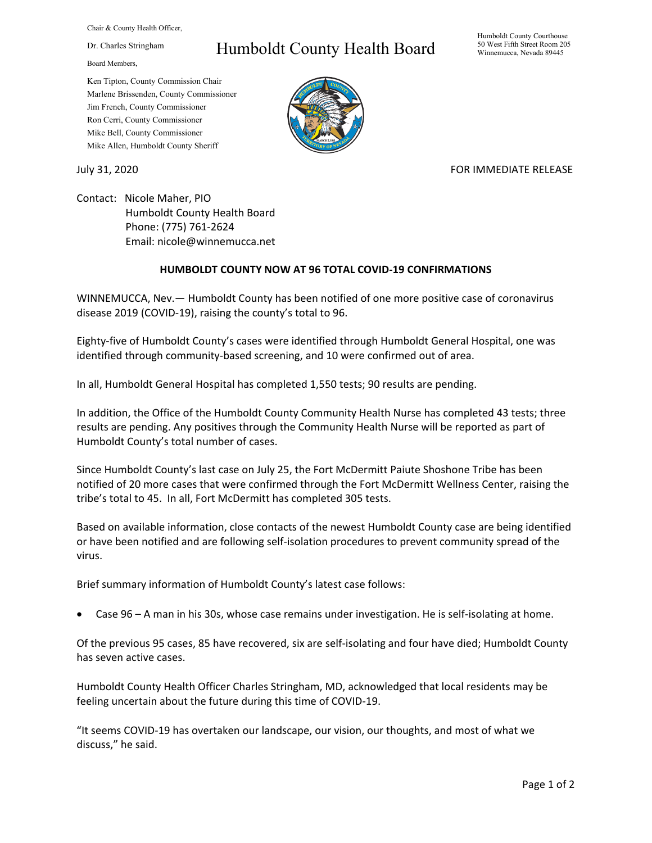Chair & County Health Officer,

Dr. Charles Stringham

Board Members,

## Humboldt County Health Board

Humboldt County Courthouse 50 West Fifth Street Room 205 Winnemucca, Nevada 89445

Ken Tipton, County Commission Chair Marlene Brissenden, County Commissioner Jim French, County Commissioner Ron Cerri, County Commissioner Mike Bell, County Commissioner Mike Allen, Humboldt County Sheriff

## July 31, 2020 **FOR IMMEDIATE RELEASE**

Contact: Nicole Maher, PIO Humboldt County Health Board Phone: (775) 761-2624 Email: nicole@winnemucca.net

## **HUMBOLDT COUNTY NOW AT 96 TOTAL COVID-19 CONFIRMATIONS**

WINNEMUCCA, Nev.— Humboldt County has been notified of one more positive case of coronavirus disease 2019 (COVID-19), raising the county's total to 96.

Eighty-five of Humboldt County's cases were identified through Humboldt General Hospital, one was identified through community-based screening, and 10 were confirmed out of area.

In all, Humboldt General Hospital has completed 1,550 tests; 90 results are pending.

In addition, the Office of the Humboldt County Community Health Nurse has completed 43 tests; three results are pending. Any positives through the Community Health Nurse will be reported as part of Humboldt County's total number of cases.

Since Humboldt County's last case on July 25, the Fort McDermitt Paiute Shoshone Tribe has been notified of 20 more cases that were confirmed through the Fort McDermitt Wellness Center, raising the tribe's total to 45. In all, Fort McDermitt has completed 305 tests.

Based on available information, close contacts of the newest Humboldt County case are being identified or have been notified and are following self-isolation procedures to prevent community spread of the virus.

Brief summary information of Humboldt County's latest case follows:

• Case 96 – A man in his 30s, whose case remains under investigation. He is self-isolating at home.

Of the previous 95 cases, 85 have recovered, six are self-isolating and four have died; Humboldt County has seven active cases.

Humboldt County Health Officer Charles Stringham, MD, acknowledged that local residents may be feeling uncertain about the future during this time of COVID-19.

"It seems COVID-19 has overtaken our landscape, our vision, our thoughts, and most of what we discuss," he said.